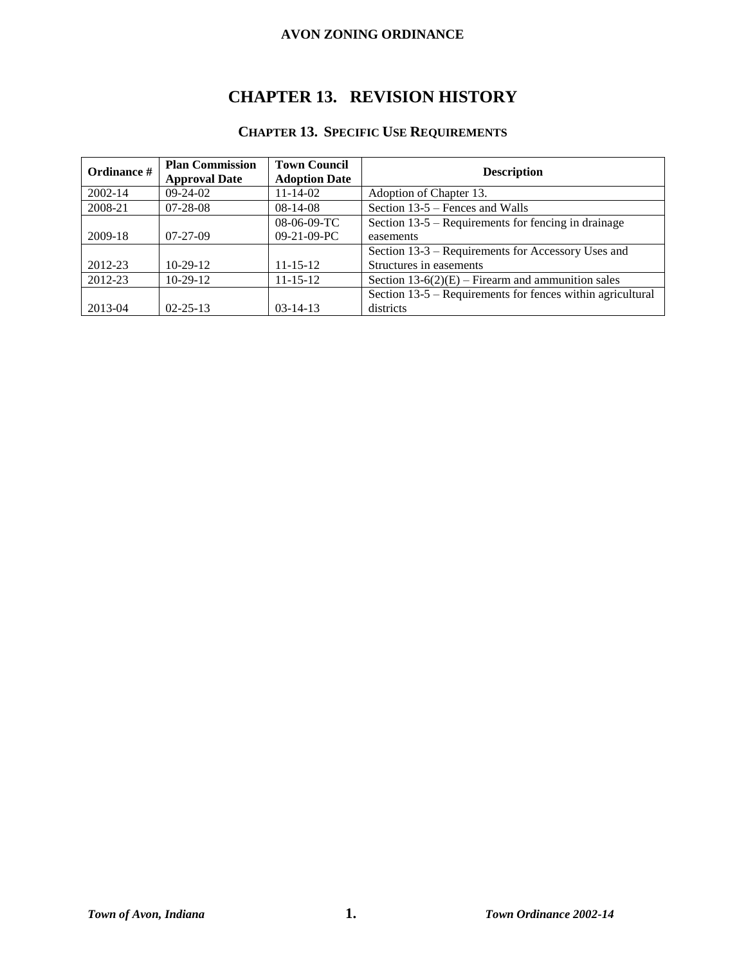# **CHAPTER 13. REVISION HISTORY**

# **CHAPTER 13. SPECIFIC USE REQUIREMENTS**

| Ordinance # | <b>Plan Commission</b><br><b>Approval Date</b> | <b>Town Council</b><br><b>Adoption Date</b> | <b>Description</b>                                         |
|-------------|------------------------------------------------|---------------------------------------------|------------------------------------------------------------|
| 2002-14     | $09-24-02$                                     | $11 - 14 - 02$                              | Adoption of Chapter 13.                                    |
| 2008-21     | $07 - 28 - 08$                                 | $08-14-08$                                  | Section 13-5 – Fences and Walls                            |
|             |                                                | $08-06-09-TC$                               | Section 13-5 – Requirements for fencing in drainage        |
| 2009-18     | $07-27-09$                                     | $09-21-09-PC$                               | easements                                                  |
|             |                                                |                                             | Section 13-3 – Requirements for Accessory Uses and         |
| 2012-23     | $10-29-12$                                     | $11 - 15 - 12$                              | Structures in easements                                    |
| 2012-23     | $10-29-12$                                     | $11 - 15 - 12$                              | Section $13-6(2)(E)$ – Firearm and ammunition sales        |
|             |                                                |                                             | Section 13-5 – Requirements for fences within agricultural |
| 2013-04     | $02 - 25 - 13$                                 | $03 - 14 - 13$                              | districts                                                  |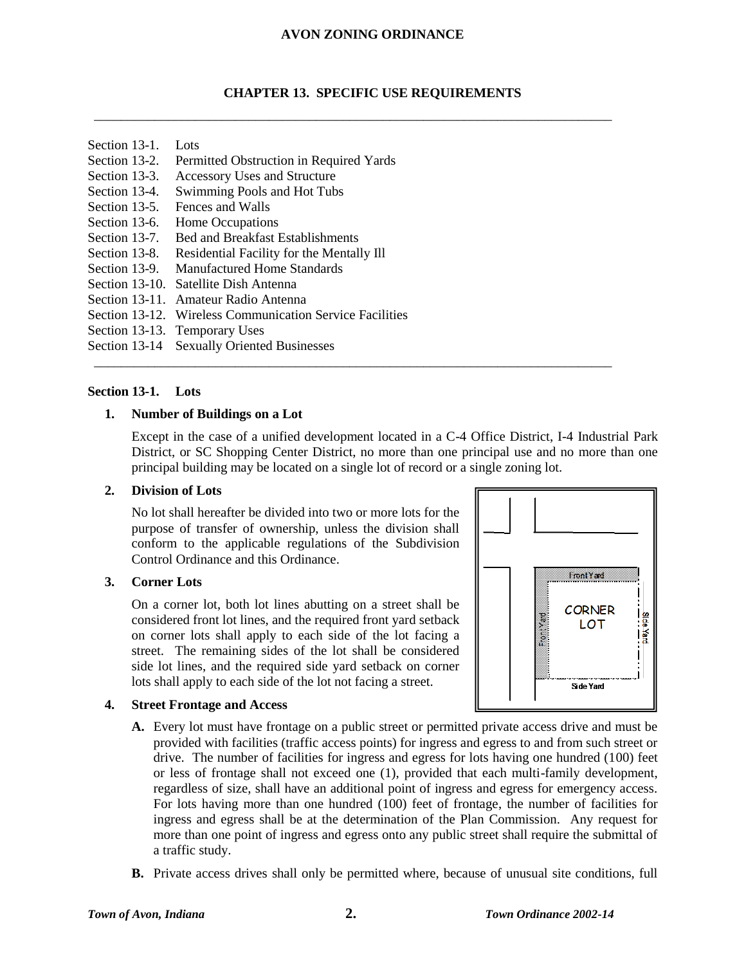#### **CHAPTER 13. SPECIFIC USE REQUIREMENTS**

\_\_\_\_\_\_\_\_\_\_\_\_\_\_\_\_\_\_\_\_\_\_\_\_\_\_\_\_\_\_\_\_\_\_\_\_\_\_\_\_\_\_\_\_\_\_\_\_\_\_\_\_\_\_\_\_\_\_\_\_\_\_\_\_\_\_\_\_\_\_\_\_\_\_\_\_\_

\_\_\_\_\_\_\_\_\_\_\_\_\_\_\_\_\_\_\_\_\_\_\_\_\_\_\_\_\_\_\_\_\_\_\_\_\_\_\_\_\_\_\_\_\_\_\_\_\_\_\_\_\_\_\_\_\_\_\_\_\_\_\_\_\_\_\_\_\_\_\_\_\_\_\_\_\_

- Section 13-1. Lots
- Section 13-2. Permitted Obstruction in Required Yards
- Section 13-3. Accessory Uses and Structure
- Section 13-4. Swimming Pools and Hot Tubs
- Section 13-5. Fences and Walls
- Section 13-6. Home Occupations
- Section 13-7. Bed and Breakfast Establishments
- Section 13-8. Residential Facility for the Mentally Ill
- Section 13-9. Manufactured Home Standards
- Section 13-10. Satellite Dish Antenna
- Section 13-11. Amateur Radio Antenna
- Section 13-12. Wireless Communication Service Facilities
- Section 13-13. Temporary Uses
- Section 13-14 Sexually Oriented Businesses

#### **Section 13-1. Lots**

#### **1. Number of Buildings on a Lot**

Except in the case of a unified development located in a C-4 Office District, I-4 Industrial Park District, or SC Shopping Center District, no more than one principal use and no more than one principal building may be located on a single lot of record or a single zoning lot.

#### **2. Division of Lots**

No lot shall hereafter be divided into two or more lots for the purpose of transfer of ownership, unless the division shall conform to the applicable regulations of the Subdivision Control Ordinance and this Ordinance.

#### **3. Corner Lots**

On a corner lot, both lot lines abutting on a street shall be considered front lot lines, and the required front yard setback on corner lots shall apply to each side of the lot facing a street. The remaining sides of the lot shall be considered side lot lines, and the required side yard setback on corner lots shall apply to each side of the lot not facing a street.

#### **4. Street Frontage and Access**



- **A.** Every lot must have frontage on a public street or permitted private access drive and must be provided with facilities (traffic access points) for ingress and egress to and from such street or drive. The number of facilities for ingress and egress for lots having one hundred (100) feet or less of frontage shall not exceed one (1), provided that each multi-family development, regardless of size, shall have an additional point of ingress and egress for emergency access. For lots having more than one hundred (100) feet of frontage, the number of facilities for ingress and egress shall be at the determination of the Plan Commission. Any request for more than one point of ingress and egress onto any public street shall require the submittal of a traffic study.
- **B.** Private access drives shall only be permitted where, because of unusual site conditions, full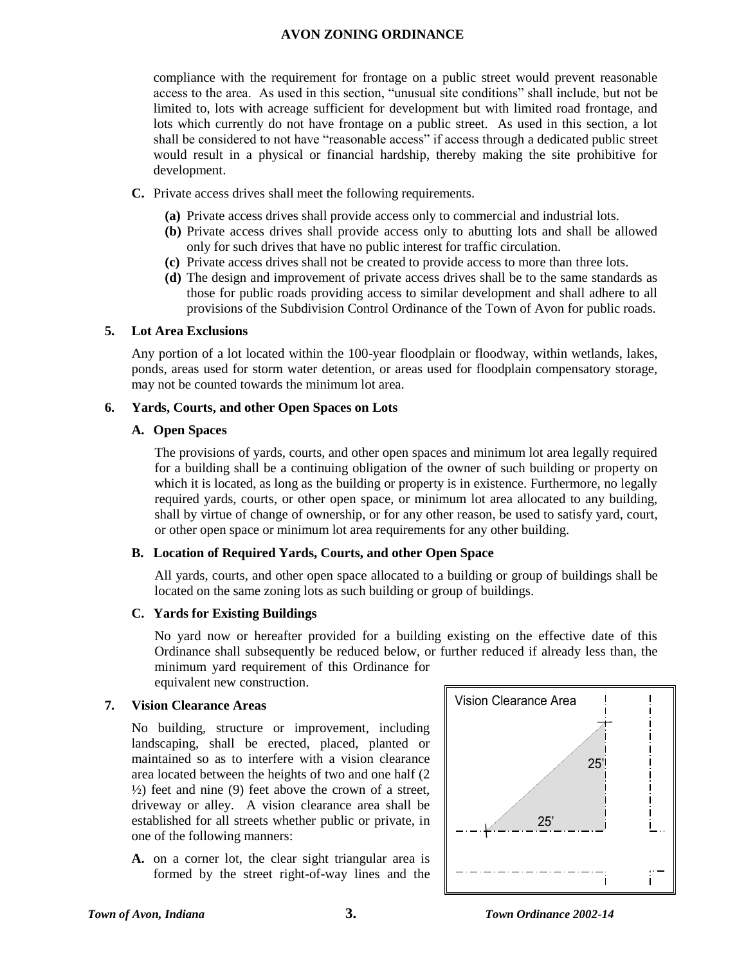compliance with the requirement for frontage on a public street would prevent reasonable access to the area. As used in this section, "unusual site conditions" shall include, but not be limited to, lots with acreage sufficient for development but with limited road frontage, and lots which currently do not have frontage on a public street. As used in this section, a lot shall be considered to not have "reasonable access" if access through a dedicated public street would result in a physical or financial hardship, thereby making the site prohibitive for development.

- **C.** Private access drives shall meet the following requirements.
	- **(a)** Private access drives shall provide access only to commercial and industrial lots.
	- **(b)** Private access drives shall provide access only to abutting lots and shall be allowed only for such drives that have no public interest for traffic circulation.
	- **(c)** Private access drives shall not be created to provide access to more than three lots.
	- **(d)** The design and improvement of private access drives shall be to the same standards as those for public roads providing access to similar development and shall adhere to all provisions of the Subdivision Control Ordinance of the Town of Avon for public roads.

#### **5. Lot Area Exclusions**

Any portion of a lot located within the 100-year floodplain or floodway, within wetlands, lakes, ponds, areas used for storm water detention, or areas used for floodplain compensatory storage, may not be counted towards the minimum lot area.

#### **6. Yards, Courts, and other Open Spaces on Lots**

#### **A. Open Spaces**

The provisions of yards, courts, and other open spaces and minimum lot area legally required for a building shall be a continuing obligation of the owner of such building or property on which it is located, as long as the building or property is in existence. Furthermore, no legally required yards, courts, or other open space, or minimum lot area allocated to any building, shall by virtue of change of ownership, or for any other reason, be used to satisfy yard, court, or other open space or minimum lot area requirements for any other building.

## **B. Location of Required Yards, Courts, and other Open Space**

All yards, courts, and other open space allocated to a building or group of buildings shall be located on the same zoning lots as such building or group of buildings.

## **C. Yards for Existing Buildings**

No yard now or hereafter provided for a building existing on the effective date of this Ordinance shall subsequently be reduced below, or further reduced if already less than, the minimum yard requirement of this Ordinance for equivalent new construction.

## **7. Vision Clearance Areas**

No building, structure or improvement, including landscaping, shall be erected, placed, planted or maintained so as to interfere with a vision clearance area located between the heights of two and one half (2  $\frac{1}{2}$ ) feet and nine (9) feet above the crown of a street, driveway or alley. A vision clearance area shall be established for all streets whether public or private, in one of the following manners:

**A.** on a corner lot, the clear sight triangular area is formed by the street right-of-way lines and the

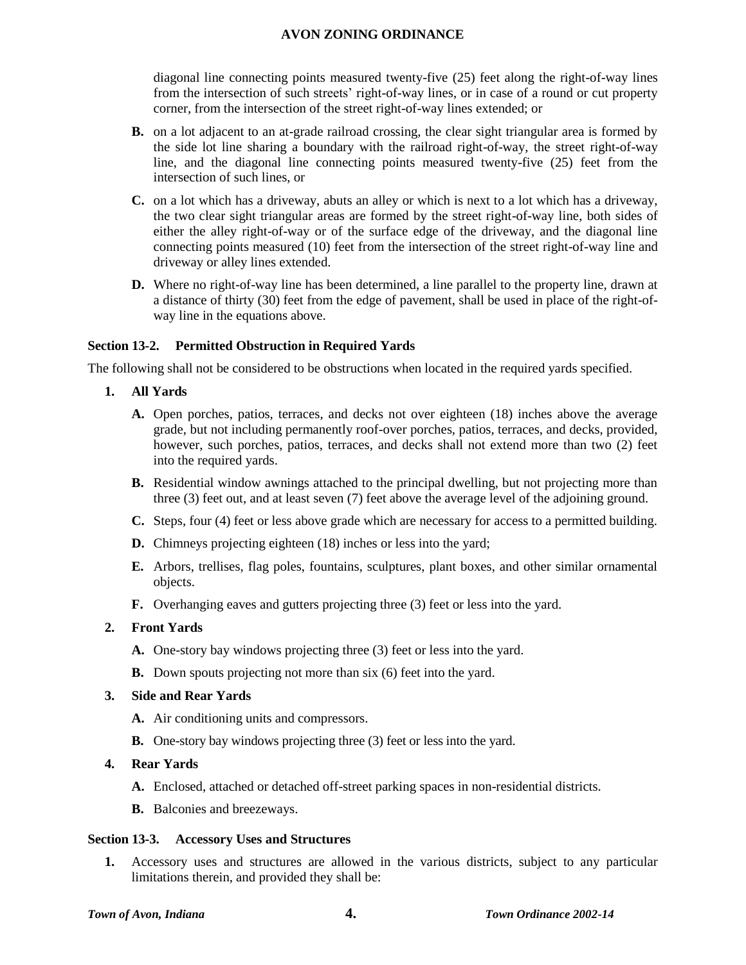diagonal line connecting points measured twenty-five (25) feet along the right-of-way lines from the intersection of such streets' right-of-way lines, or in case of a round or cut property corner, from the intersection of the street right-of-way lines extended; or

- **B.** on a lot adjacent to an at-grade railroad crossing, the clear sight triangular area is formed by the side lot line sharing a boundary with the railroad right-of-way, the street right-of-way line, and the diagonal line connecting points measured twenty-five (25) feet from the intersection of such lines, or
- **C.** on a lot which has a driveway, abuts an alley or which is next to a lot which has a driveway, the two clear sight triangular areas are formed by the street right-of-way line, both sides of either the alley right-of-way or of the surface edge of the driveway, and the diagonal line connecting points measured (10) feet from the intersection of the street right-of-way line and driveway or alley lines extended.
- **D.** Where no right-of-way line has been determined, a line parallel to the property line, drawn at a distance of thirty (30) feet from the edge of pavement, shall be used in place of the right-ofway line in the equations above.

## **Section 13-2. Permitted Obstruction in Required Yards**

The following shall not be considered to be obstructions when located in the required yards specified.

- **1. All Yards**
	- **A.** Open porches, patios, terraces, and decks not over eighteen (18) inches above the average grade, but not including permanently roof-over porches, patios, terraces, and decks, provided, however, such porches, patios, terraces, and decks shall not extend more than two (2) feet into the required yards.
	- **B.** Residential window awnings attached to the principal dwelling, but not projecting more than three (3) feet out, and at least seven (7) feet above the average level of the adjoining ground.
	- **C.** Steps, four (4) feet or less above grade which are necessary for access to a permitted building.
	- **D.** Chimneys projecting eighteen (18) inches or less into the yard;
	- **E.** Arbors, trellises, flag poles, fountains, sculptures, plant boxes, and other similar ornamental objects.
	- **F.** Overhanging eaves and gutters projecting three (3) feet or less into the yard.

#### **2. Front Yards**

- **A.** One-story bay windows projecting three (3) feet or less into the yard.
- **B.** Down spouts projecting not more than six (6) feet into the yard.

#### **3. Side and Rear Yards**

- **A.** Air conditioning units and compressors.
- **B.** One-story bay windows projecting three (3) feet or less into the yard.

#### **4. Rear Yards**

- **A.** Enclosed, attached or detached off-street parking spaces in non-residential districts.
- **B.** Balconies and breezeways.

#### **Section 13-3. Accessory Uses and Structures**

**1.** Accessory uses and structures are allowed in the various districts, subject to any particular limitations therein, and provided they shall be: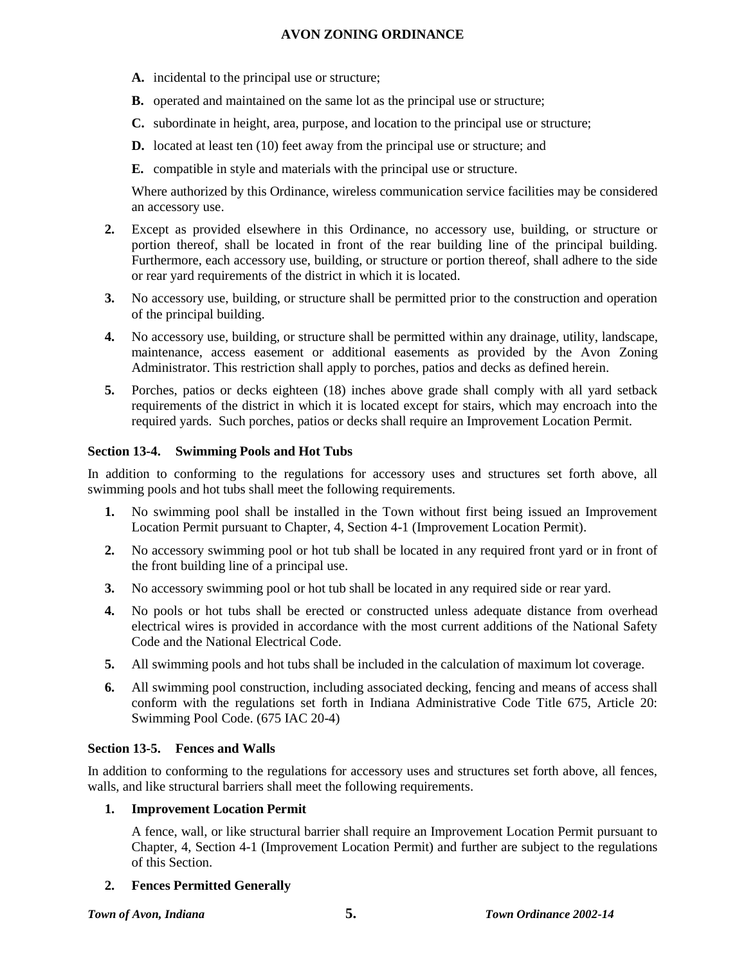- **A.** incidental to the principal use or structure;
- **B.** operated and maintained on the same lot as the principal use or structure;
- **C.** subordinate in height, area, purpose, and location to the principal use or structure;
- **D.** located at least ten (10) feet away from the principal use or structure; and
- **E.** compatible in style and materials with the principal use or structure.

Where authorized by this Ordinance, wireless communication service facilities may be considered an accessory use.

- **2.** Except as provided elsewhere in this Ordinance, no accessory use, building, or structure or portion thereof, shall be located in front of the rear building line of the principal building. Furthermore, each accessory use, building, or structure or portion thereof, shall adhere to the side or rear yard requirements of the district in which it is located.
- **3.** No accessory use, building, or structure shall be permitted prior to the construction and operation of the principal building.
- **4.** No accessory use, building, or structure shall be permitted within any drainage, utility, landscape, maintenance, access easement or additional easements as provided by the Avon Zoning Administrator. This restriction shall apply to porches, patios and decks as defined herein.
- **5.** Porches, patios or decks eighteen (18) inches above grade shall comply with all yard setback requirements of the district in which it is located except for stairs, which may encroach into the required yards. Such porches, patios or decks shall require an Improvement Location Permit.

## **Section 13-4. Swimming Pools and Hot Tubs**

In addition to conforming to the regulations for accessory uses and structures set forth above, all swimming pools and hot tubs shall meet the following requirements.

- **1.** No swimming pool shall be installed in the Town without first being issued an Improvement Location Permit pursuant to Chapter, 4, Section 4-1 (Improvement Location Permit).
- **2.** No accessory swimming pool or hot tub shall be located in any required front yard or in front of the front building line of a principal use.
- **3.** No accessory swimming pool or hot tub shall be located in any required side or rear yard.
- **4.** No pools or hot tubs shall be erected or constructed unless adequate distance from overhead electrical wires is provided in accordance with the most current additions of the National Safety Code and the National Electrical Code.
- **5.** All swimming pools and hot tubs shall be included in the calculation of maximum lot coverage.
- **6.** All swimming pool construction, including associated decking, fencing and means of access shall conform with the regulations set forth in Indiana Administrative Code Title 675, Article 20: Swimming Pool Code. (675 IAC 20-4)

## **Section 13-5. Fences and Walls**

In addition to conforming to the regulations for accessory uses and structures set forth above, all fences, walls, and like structural barriers shall meet the following requirements.

## **1. Improvement Location Permit**

A fence, wall, or like structural barrier shall require an Improvement Location Permit pursuant to Chapter, 4, Section 4-1 (Improvement Location Permit) and further are subject to the regulations of this Section.

## **2. Fences Permitted Generally**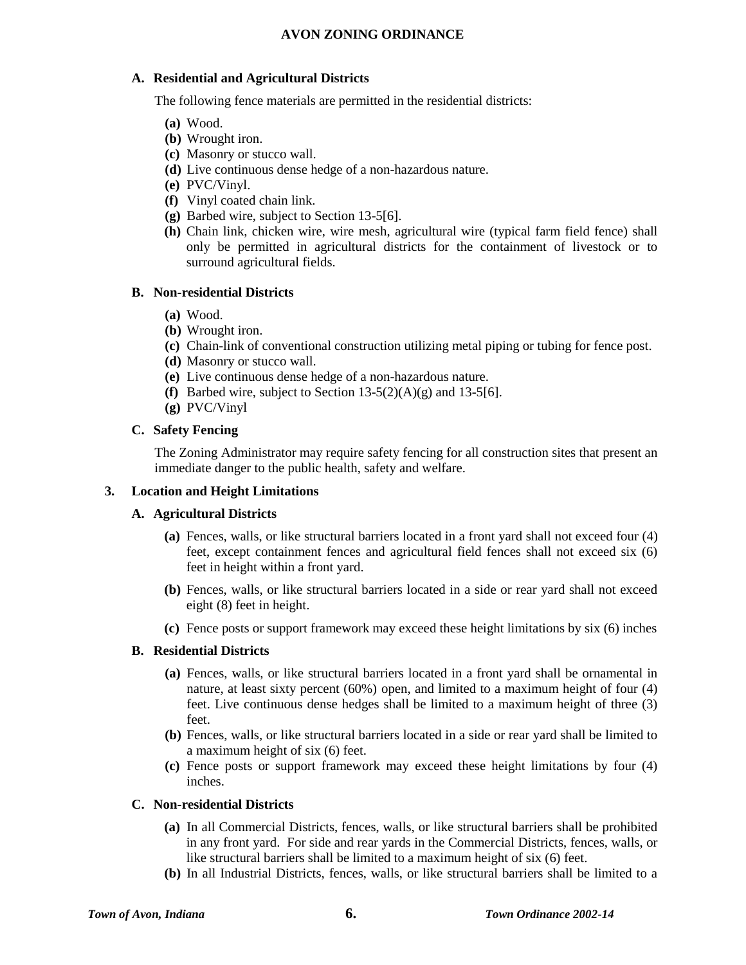## **A. Residential and Agricultural Districts**

The following fence materials are permitted in the residential districts:

- **(a)** Wood.
- **(b)** Wrought iron.
- **(c)** Masonry or stucco wall.
- **(d)** Live continuous dense hedge of a non-hazardous nature.
- **(e)** PVC/Vinyl.
- **(f)** Vinyl coated chain link.
- **(g)** Barbed wire, subject to Section 13-5[6].
- **(h)** Chain link, chicken wire, wire mesh, agricultural wire (typical farm field fence) shall only be permitted in agricultural districts for the containment of livestock or to surround agricultural fields.

#### **B. Non-residential Districts**

- **(a)** Wood.
- **(b)** Wrought iron.
- **(c)** Chain-link of conventional construction utilizing metal piping or tubing for fence post.
- **(d)** Masonry or stucco wall.
- **(e)** Live continuous dense hedge of a non-hazardous nature.
- **(f)** Barbed wire, subject to Section 13-5(2)(A)(g) and 13-5[6].
- **(g)** PVC/Vinyl

#### **C. Safety Fencing**

The Zoning Administrator may require safety fencing for all construction sites that present an immediate danger to the public health, safety and welfare.

#### **3. Location and Height Limitations**

#### **A. Agricultural Districts**

- **(a)** Fences, walls, or like structural barriers located in a front yard shall not exceed four (4) feet, except containment fences and agricultural field fences shall not exceed six (6) feet in height within a front yard.
- **(b)** Fences, walls, or like structural barriers located in a side or rear yard shall not exceed eight (8) feet in height.
- **(c)** Fence posts or support framework may exceed these height limitations by six (6) inches

#### **B. Residential Districts**

- **(a)** Fences, walls, or like structural barriers located in a front yard shall be ornamental in nature, at least sixty percent (60%) open, and limited to a maximum height of four (4) feet. Live continuous dense hedges shall be limited to a maximum height of three (3) feet.
- **(b)** Fences, walls, or like structural barriers located in a side or rear yard shall be limited to a maximum height of six (6) feet.
- **(c)** Fence posts or support framework may exceed these height limitations by four (4) inches.

### **C. Non-residential Districts**

- **(a)** In all Commercial Districts, fences, walls, or like structural barriers shall be prohibited in any front yard. For side and rear yards in the Commercial Districts, fences, walls, or like structural barriers shall be limited to a maximum height of six (6) feet.
- **(b)** In all Industrial Districts, fences, walls, or like structural barriers shall be limited to a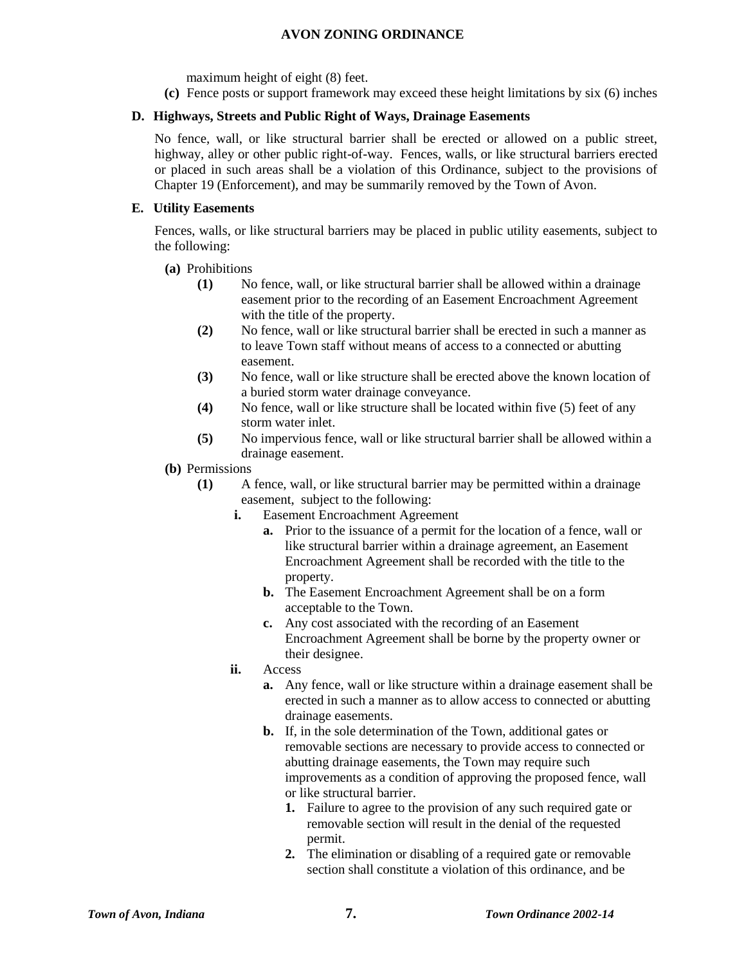maximum height of eight (8) feet.

**(c)** Fence posts or support framework may exceed these height limitations by six (6) inches

## **D. Highways, Streets and Public Right of Ways, Drainage Easements**

No fence, wall, or like structural barrier shall be erected or allowed on a public street, highway, alley or other public right-of-way. Fences, walls, or like structural barriers erected or placed in such areas shall be a violation of this Ordinance, subject to the provisions of Chapter 19 (Enforcement), and may be summarily removed by the Town of Avon.

## **E. Utility Easements**

Fences, walls, or like structural barriers may be placed in public utility easements, subject to the following:

- **(a)** Prohibitions
	- **(1)** No fence, wall, or like structural barrier shall be allowed within a drainage easement prior to the recording of an Easement Encroachment Agreement with the title of the property.
	- **(2)** No fence, wall or like structural barrier shall be erected in such a manner as to leave Town staff without means of access to a connected or abutting easement.
	- **(3)** No fence, wall or like structure shall be erected above the known location of a buried storm water drainage conveyance.
	- **(4)** No fence, wall or like structure shall be located within five (5) feet of any storm water inlet.
	- **(5)** No impervious fence, wall or like structural barrier shall be allowed within a drainage easement.
- **(b)** Permissions
	- **(1)** A fence, wall, or like structural barrier may be permitted within a drainage easement, subject to the following:
		- **i.** Easement Encroachment Agreement
			- **a.** Prior to the issuance of a permit for the location of a fence, wall or like structural barrier within a drainage agreement, an Easement Encroachment Agreement shall be recorded with the title to the property.
			- **b.** The Easement Encroachment Agreement shall be on a form acceptable to the Town.
			- **c.** Any cost associated with the recording of an Easement Encroachment Agreement shall be borne by the property owner or their designee.
		- **ii.** Access
			- **a.** Any fence, wall or like structure within a drainage easement shall be erected in such a manner as to allow access to connected or abutting drainage easements.
			- **b.** If, in the sole determination of the Town, additional gates or removable sections are necessary to provide access to connected or abutting drainage easements, the Town may require such improvements as a condition of approving the proposed fence, wall or like structural barrier.
				- **1.** Failure to agree to the provision of any such required gate or removable section will result in the denial of the requested permit.
				- **2.** The elimination or disabling of a required gate or removable section shall constitute a violation of this ordinance, and be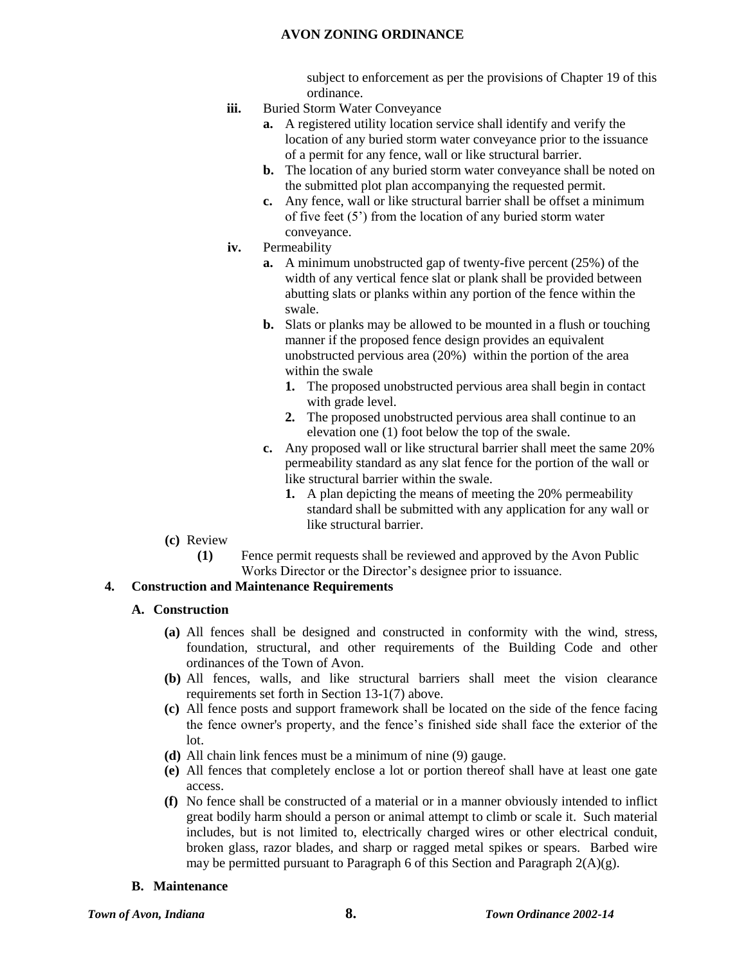subject to enforcement as per the provisions of Chapter 19 of this ordinance.

- **iii.** Buried Storm Water Conveyance
	- **a.** A registered utility location service shall identify and verify the location of any buried storm water conveyance prior to the issuance of a permit for any fence, wall or like structural barrier.
	- **b.** The location of any buried storm water conveyance shall be noted on the submitted plot plan accompanying the requested permit.
	- **c.** Any fence, wall or like structural barrier shall be offset a minimum of five feet (5') from the location of any buried storm water conveyance.
- **iv.** Permeability
	- **a.** A minimum unobstructed gap of twenty-five percent (25%) of the width of any vertical fence slat or plank shall be provided between abutting slats or planks within any portion of the fence within the swale.
	- **b.** Slats or planks may be allowed to be mounted in a flush or touching manner if the proposed fence design provides an equivalent unobstructed pervious area (20%) within the portion of the area within the swale
		- **1.** The proposed unobstructed pervious area shall begin in contact with grade level.
		- **2.** The proposed unobstructed pervious area shall continue to an elevation one (1) foot below the top of the swale.
	- **c.** Any proposed wall or like structural barrier shall meet the same 20% permeability standard as any slat fence for the portion of the wall or like structural barrier within the swale.
		- **1.** A plan depicting the means of meeting the 20% permeability standard shall be submitted with any application for any wall or like structural barrier.
- **(c)** Review
	- **(1)** Fence permit requests shall be reviewed and approved by the Avon Public Works Director or the Director's designee prior to issuance.

## **4. Construction and Maintenance Requirements**

## **A. Construction**

- **(a)** All fences shall be designed and constructed in conformity with the wind, stress, foundation, structural, and other requirements of the Building Code and other ordinances of the Town of Avon.
- **(b)** All fences, walls, and like structural barriers shall meet the vision clearance requirements set forth in Section 13-1(7) above.
- **(c)** All fence posts and support framework shall be located on the side of the fence facing the fence owner's property, and the fence's finished side shall face the exterior of the lot.
- **(d)** All chain link fences must be a minimum of nine (9) gauge.
- **(e)** All fences that completely enclose a lot or portion thereof shall have at least one gate access.
- **(f)** No fence shall be constructed of a material or in a manner obviously intended to inflict great bodily harm should a person or animal attempt to climb or scale it. Such material includes, but is not limited to, electrically charged wires or other electrical conduit, broken glass, razor blades, and sharp or ragged metal spikes or spears. Barbed wire may be permitted pursuant to Paragraph 6 of this Section and Paragraph  $2(A)(g)$ .

#### **B. Maintenance**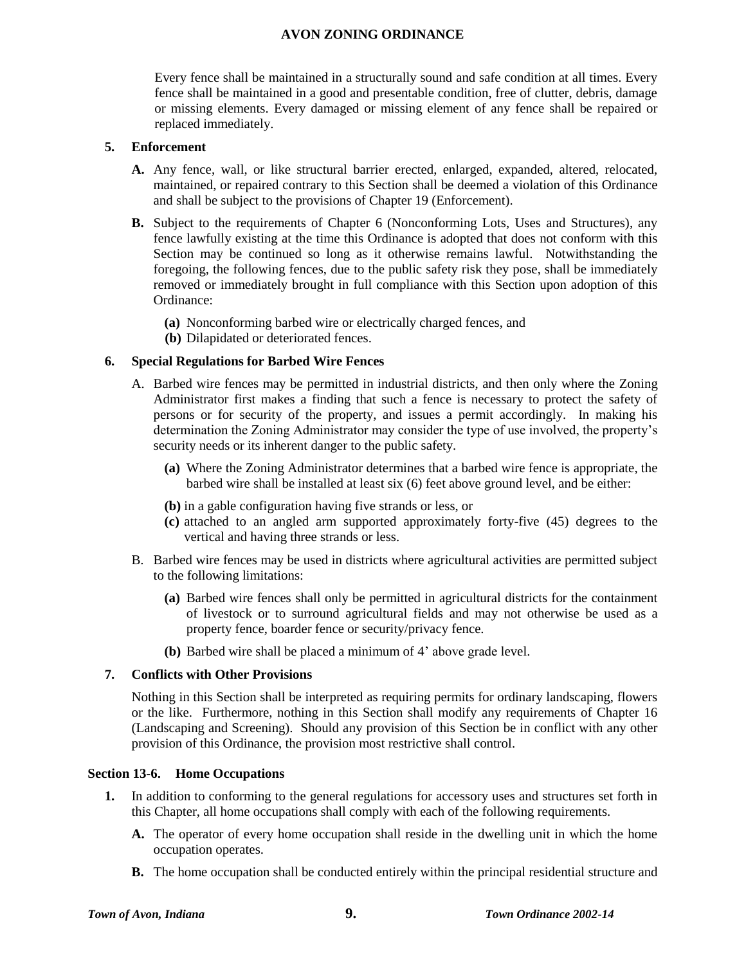Every fence shall be maintained in a structurally sound and safe condition at all times. Every fence shall be maintained in a good and presentable condition, free of clutter, debris, damage or missing elements. Every damaged or missing element of any fence shall be repaired or replaced immediately.

#### **5. Enforcement**

- **A.** Any fence, wall, or like structural barrier erected, enlarged, expanded, altered, relocated, maintained, or repaired contrary to this Section shall be deemed a violation of this Ordinance and shall be subject to the provisions of Chapter 19 (Enforcement).
- **B.** Subject to the requirements of Chapter 6 (Nonconforming Lots, Uses and Structures), any fence lawfully existing at the time this Ordinance is adopted that does not conform with this Section may be continued so long as it otherwise remains lawful. Notwithstanding the foregoing, the following fences, due to the public safety risk they pose, shall be immediately removed or immediately brought in full compliance with this Section upon adoption of this Ordinance:
	- **(a)** Nonconforming barbed wire or electrically charged fences, and
	- **(b)** Dilapidated or deteriorated fences.

## **6. Special Regulations for Barbed Wire Fences**

- A. Barbed wire fences may be permitted in industrial districts, and then only where the Zoning Administrator first makes a finding that such a fence is necessary to protect the safety of persons or for security of the property, and issues a permit accordingly. In making his determination the Zoning Administrator may consider the type of use involved, the property's security needs or its inherent danger to the public safety.
	- **(a)** Where the Zoning Administrator determines that a barbed wire fence is appropriate, the barbed wire shall be installed at least six (6) feet above ground level, and be either:
	- **(b)** in a gable configuration having five strands or less, or
	- **(c)** attached to an angled arm supported approximately forty-five (45) degrees to the vertical and having three strands or less.
- B. Barbed wire fences may be used in districts where agricultural activities are permitted subject to the following limitations:
	- **(a)** Barbed wire fences shall only be permitted in agricultural districts for the containment of livestock or to surround agricultural fields and may not otherwise be used as a property fence, boarder fence or security/privacy fence.
	- **(b)** Barbed wire shall be placed a minimum of 4' above grade level.

## **7. Conflicts with Other Provisions**

Nothing in this Section shall be interpreted as requiring permits for ordinary landscaping, flowers or the like. Furthermore, nothing in this Section shall modify any requirements of Chapter 16 (Landscaping and Screening). Should any provision of this Section be in conflict with any other provision of this Ordinance, the provision most restrictive shall control.

#### **Section 13-6. Home Occupations**

- **1.** In addition to conforming to the general regulations for accessory uses and structures set forth in this Chapter, all home occupations shall comply with each of the following requirements.
	- **A.** The operator of every home occupation shall reside in the dwelling unit in which the home occupation operates.
	- **B.** The home occupation shall be conducted entirely within the principal residential structure and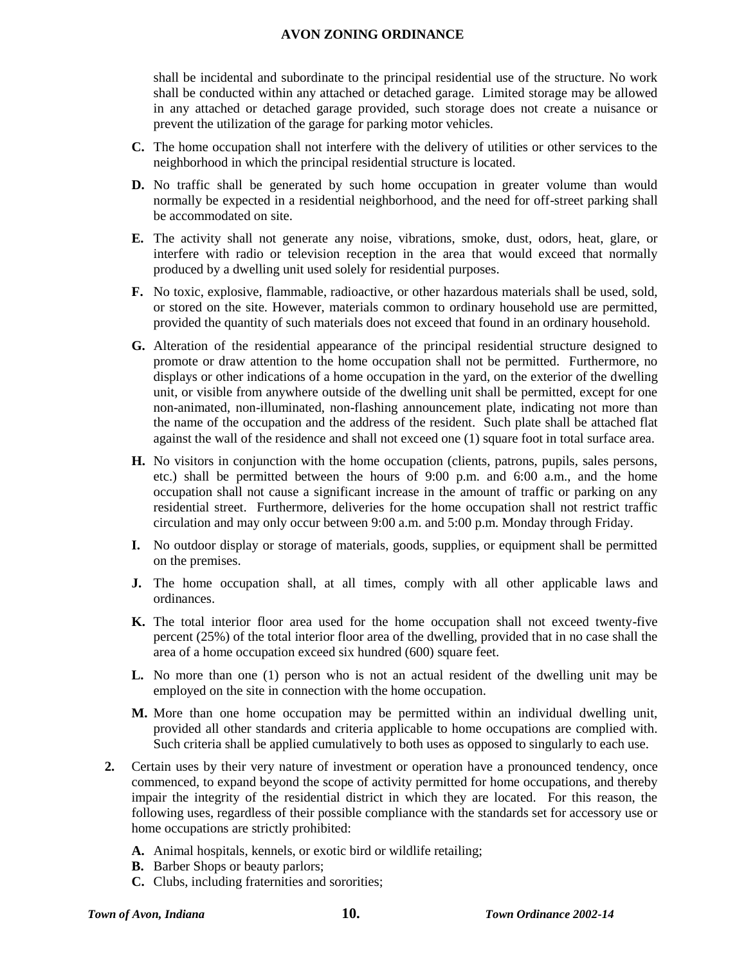shall be incidental and subordinate to the principal residential use of the structure. No work shall be conducted within any attached or detached garage. Limited storage may be allowed in any attached or detached garage provided, such storage does not create a nuisance or prevent the utilization of the garage for parking motor vehicles.

- **C.** The home occupation shall not interfere with the delivery of utilities or other services to the neighborhood in which the principal residential structure is located.
- **D.** No traffic shall be generated by such home occupation in greater volume than would normally be expected in a residential neighborhood, and the need for off-street parking shall be accommodated on site.
- **E.** The activity shall not generate any noise, vibrations, smoke, dust, odors, heat, glare, or interfere with radio or television reception in the area that would exceed that normally produced by a dwelling unit used solely for residential purposes.
- **F.** No toxic, explosive, flammable, radioactive, or other hazardous materials shall be used, sold, or stored on the site. However, materials common to ordinary household use are permitted, provided the quantity of such materials does not exceed that found in an ordinary household.
- **G.** Alteration of the residential appearance of the principal residential structure designed to promote or draw attention to the home occupation shall not be permitted. Furthermore, no displays or other indications of a home occupation in the yard, on the exterior of the dwelling unit, or visible from anywhere outside of the dwelling unit shall be permitted, except for one non-animated, non-illuminated, non-flashing announcement plate, indicating not more than the name of the occupation and the address of the resident. Such plate shall be attached flat against the wall of the residence and shall not exceed one (1) square foot in total surface area.
- **H.** No visitors in conjunction with the home occupation (clients, patrons, pupils, sales persons, etc.) shall be permitted between the hours of 9:00 p.m. and 6:00 a.m., and the home occupation shall not cause a significant increase in the amount of traffic or parking on any residential street. Furthermore, deliveries for the home occupation shall not restrict traffic circulation and may only occur between 9:00 a.m. and 5:00 p.m. Monday through Friday.
- **I.** No outdoor display or storage of materials, goods, supplies, or equipment shall be permitted on the premises.
- **J.** The home occupation shall, at all times, comply with all other applicable laws and ordinances.
- **K.** The total interior floor area used for the home occupation shall not exceed twenty-five percent (25%) of the total interior floor area of the dwelling, provided that in no case shall the area of a home occupation exceed six hundred (600) square feet.
- **L.** No more than one (1) person who is not an actual resident of the dwelling unit may be employed on the site in connection with the home occupation.
- **M.** More than one home occupation may be permitted within an individual dwelling unit, provided all other standards and criteria applicable to home occupations are complied with. Such criteria shall be applied cumulatively to both uses as opposed to singularly to each use.
- **2.** Certain uses by their very nature of investment or operation have a pronounced tendency, once commenced, to expand beyond the scope of activity permitted for home occupations, and thereby impair the integrity of the residential district in which they are located. For this reason, the following uses, regardless of their possible compliance with the standards set for accessory use or home occupations are strictly prohibited:
	- **A.** Animal hospitals, kennels, or exotic bird or wildlife retailing;
	- **B.** Barber Shops or beauty parlors;
	- **C.** Clubs, including fraternities and sororities;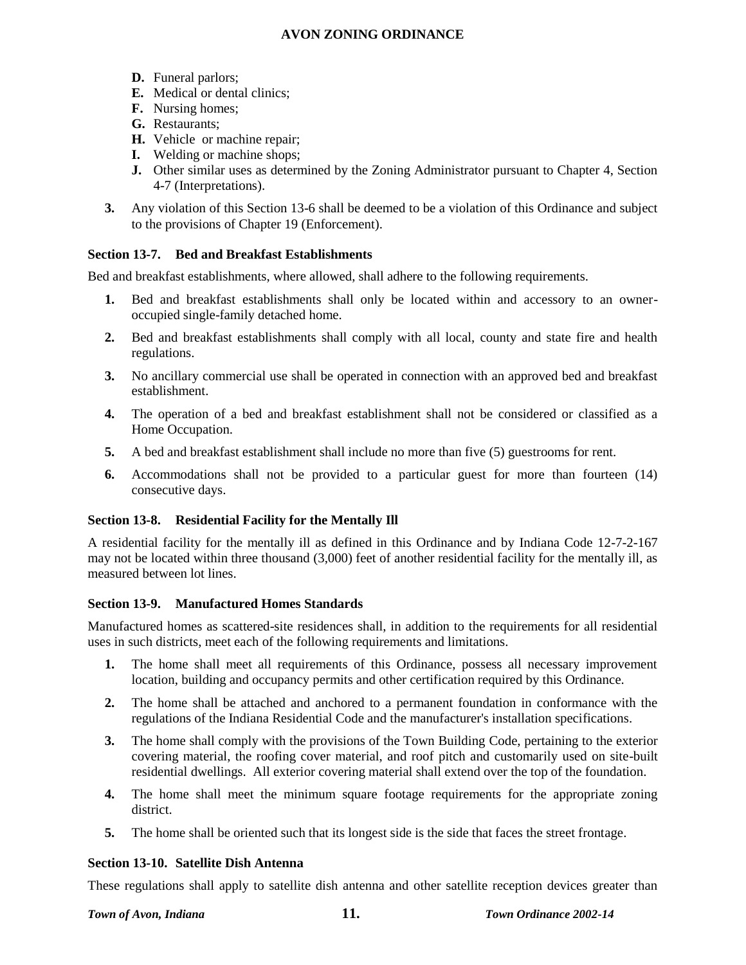- **D.** Funeral parlors;
- **E.** Medical or dental clinics;
- **F.** Nursing homes;
- **G.** Restaurants;
- **H.** Vehicle or machine repair;
- **I.** Welding or machine shops;
- **J.** Other similar uses as determined by the Zoning Administrator pursuant to Chapter 4, Section 4-7 (Interpretations).
- **3.** Any violation of this Section 13-6 shall be deemed to be a violation of this Ordinance and subject to the provisions of Chapter 19 (Enforcement).

## **Section 13-7. Bed and Breakfast Establishments**

Bed and breakfast establishments, where allowed, shall adhere to the following requirements.

- **1.** Bed and breakfast establishments shall only be located within and accessory to an owneroccupied single-family detached home.
- **2.** Bed and breakfast establishments shall comply with all local, county and state fire and health regulations.
- **3.** No ancillary commercial use shall be operated in connection with an approved bed and breakfast establishment.
- **4.** The operation of a bed and breakfast establishment shall not be considered or classified as a Home Occupation.
- **5.** A bed and breakfast establishment shall include no more than five (5) guestrooms for rent.
- **6.** Accommodations shall not be provided to a particular guest for more than fourteen (14) consecutive days.

## **Section 13-8. Residential Facility for the Mentally Ill**

A residential facility for the mentally ill as defined in this Ordinance and by Indiana Code 12-7-2-167 may not be located within three thousand (3,000) feet of another residential facility for the mentally ill, as measured between lot lines.

## **Section 13-9. Manufactured Homes Standards**

Manufactured homes as scattered-site residences shall, in addition to the requirements for all residential uses in such districts, meet each of the following requirements and limitations.

- **1.** The home shall meet all requirements of this Ordinance, possess all necessary improvement location, building and occupancy permits and other certification required by this Ordinance.
- **2.** The home shall be attached and anchored to a permanent foundation in conformance with the regulations of the Indiana Residential Code and the manufacturer's installation specifications.
- **3.** The home shall comply with the provisions of the Town Building Code, pertaining to the exterior covering material, the roofing cover material, and roof pitch and customarily used on site-built residential dwellings. All exterior covering material shall extend over the top of the foundation.
- **4.** The home shall meet the minimum square footage requirements for the appropriate zoning district.
- **5.** The home shall be oriented such that its longest side is the side that faces the street frontage.

#### **Section 13-10. Satellite Dish Antenna**

These regulations shall apply to satellite dish antenna and other satellite reception devices greater than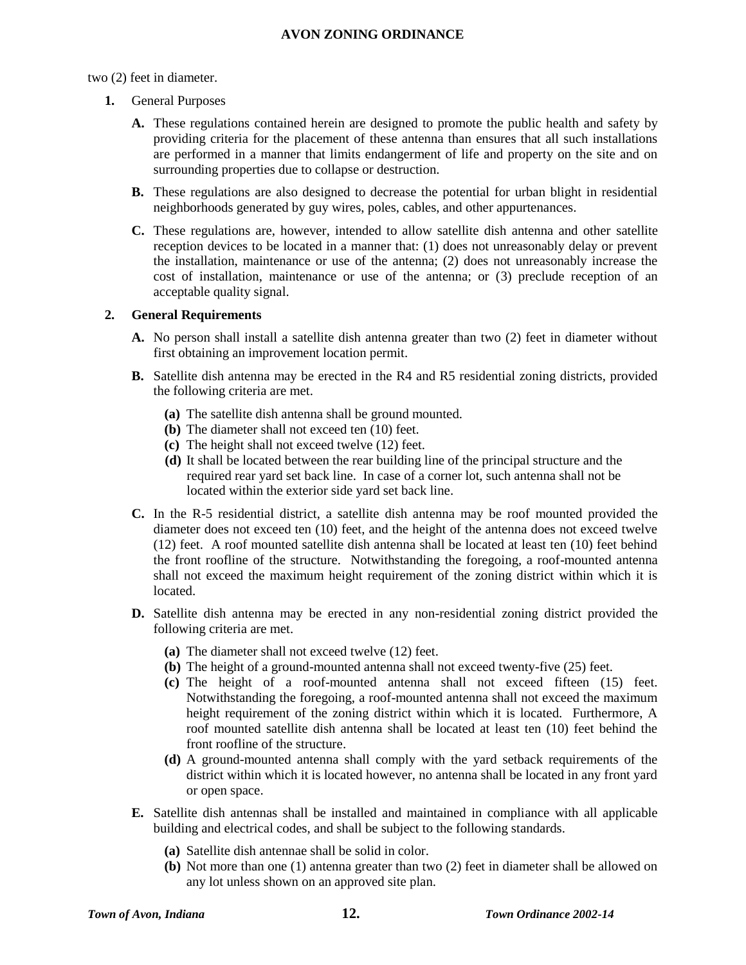## two (2) feet in diameter.

- **1.** General Purposes
	- **A.** These regulations contained herein are designed to promote the public health and safety by providing criteria for the placement of these antenna than ensures that all such installations are performed in a manner that limits endangerment of life and property on the site and on surrounding properties due to collapse or destruction.
	- **B.** These regulations are also designed to decrease the potential for urban blight in residential neighborhoods generated by guy wires, poles, cables, and other appurtenances.
	- **C.** These regulations are, however, intended to allow satellite dish antenna and other satellite reception devices to be located in a manner that: (1) does not unreasonably delay or prevent the installation, maintenance or use of the antenna; (2) does not unreasonably increase the cost of installation, maintenance or use of the antenna; or (3) preclude reception of an acceptable quality signal.

## **2. General Requirements**

- **A.** No person shall install a satellite dish antenna greater than two (2) feet in diameter without first obtaining an improvement location permit.
- **B.** Satellite dish antenna may be erected in the R4 and R5 residential zoning districts, provided the following criteria are met.
	- **(a)** The satellite dish antenna shall be ground mounted.
	- **(b)** The diameter shall not exceed ten (10) feet.
	- **(c)** The height shall not exceed twelve (12) feet.
	- **(d)** It shall be located between the rear building line of the principal structure and the required rear yard set back line. In case of a corner lot, such antenna shall not be located within the exterior side yard set back line.
- **C.** In the R-5 residential district, a satellite dish antenna may be roof mounted provided the diameter does not exceed ten (10) feet, and the height of the antenna does not exceed twelve (12) feet. A roof mounted satellite dish antenna shall be located at least ten (10) feet behind the front roofline of the structure. Notwithstanding the foregoing, a roof-mounted antenna shall not exceed the maximum height requirement of the zoning district within which it is located.
- **D.** Satellite dish antenna may be erected in any non-residential zoning district provided the following criteria are met.
	- **(a)** The diameter shall not exceed twelve (12) feet.
	- **(b)** The height of a ground-mounted antenna shall not exceed twenty-five (25) feet.
	- **(c)** The height of a roof-mounted antenna shall not exceed fifteen (15) feet. Notwithstanding the foregoing, a roof-mounted antenna shall not exceed the maximum height requirement of the zoning district within which it is located. Furthermore, A roof mounted satellite dish antenna shall be located at least ten (10) feet behind the front roofline of the structure.
	- **(d)** A ground-mounted antenna shall comply with the yard setback requirements of the district within which it is located however, no antenna shall be located in any front yard or open space.
- **E.** Satellite dish antennas shall be installed and maintained in compliance with all applicable building and electrical codes, and shall be subject to the following standards.
	- **(a)** Satellite dish antennae shall be solid in color.
	- **(b)** Not more than one (1) antenna greater than two (2) feet in diameter shall be allowed on any lot unless shown on an approved site plan.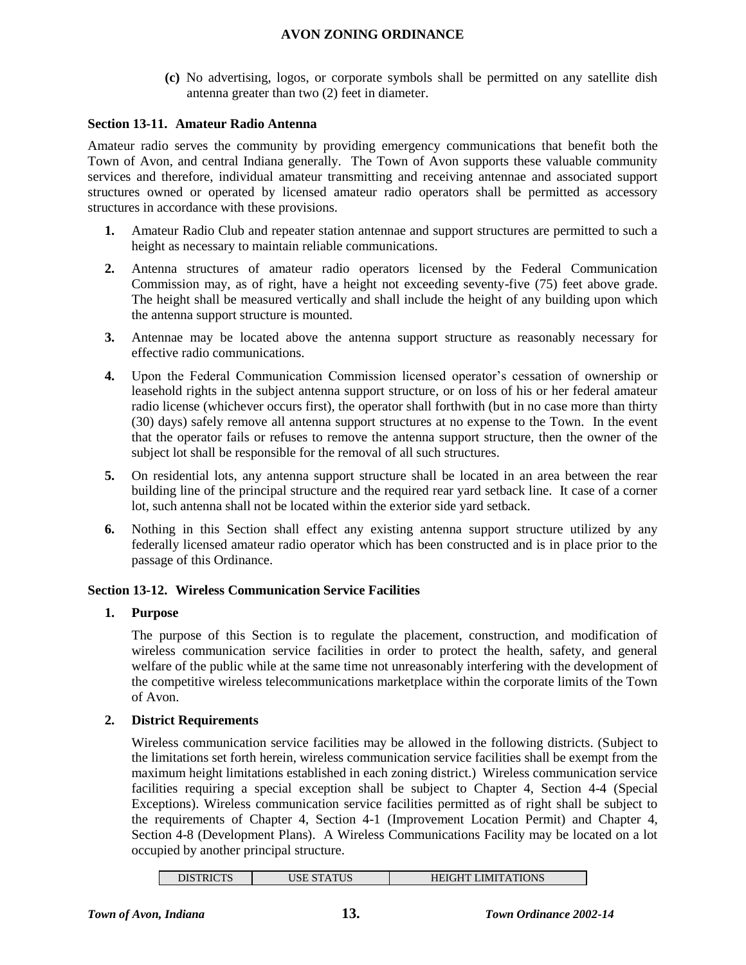**(c)** No advertising, logos, or corporate symbols shall be permitted on any satellite dish antenna greater than two (2) feet in diameter.

## **Section 13-11. Amateur Radio Antenna**

Amateur radio serves the community by providing emergency communications that benefit both the Town of Avon, and central Indiana generally. The Town of Avon supports these valuable community services and therefore, individual amateur transmitting and receiving antennae and associated support structures owned or operated by licensed amateur radio operators shall be permitted as accessory structures in accordance with these provisions.

- **1.** Amateur Radio Club and repeater station antennae and support structures are permitted to such a height as necessary to maintain reliable communications.
- **2.** Antenna structures of amateur radio operators licensed by the Federal Communication Commission may, as of right, have a height not exceeding seventy-five (75) feet above grade. The height shall be measured vertically and shall include the height of any building upon which the antenna support structure is mounted.
- **3.** Antennae may be located above the antenna support structure as reasonably necessary for effective radio communications.
- **4.** Upon the Federal Communication Commission licensed operator's cessation of ownership or leasehold rights in the subject antenna support structure, or on loss of his or her federal amateur radio license (whichever occurs first), the operator shall forthwith (but in no case more than thirty (30) days) safely remove all antenna support structures at no expense to the Town. In the event that the operator fails or refuses to remove the antenna support structure, then the owner of the subject lot shall be responsible for the removal of all such structures.
- **5.** On residential lots, any antenna support structure shall be located in an area between the rear building line of the principal structure and the required rear yard setback line. It case of a corner lot, such antenna shall not be located within the exterior side yard setback.
- **6.** Nothing in this Section shall effect any existing antenna support structure utilized by any federally licensed amateur radio operator which has been constructed and is in place prior to the passage of this Ordinance.

## **Section 13-12. Wireless Communication Service Facilities**

## **1. Purpose**

The purpose of this Section is to regulate the placement, construction, and modification of wireless communication service facilities in order to protect the health, safety, and general welfare of the public while at the same time not unreasonably interfering with the development of the competitive wireless telecommunications marketplace within the corporate limits of the Town of Avon.

## **2. District Requirements**

Wireless communication service facilities may be allowed in the following districts. (Subject to the limitations set forth herein, wireless communication service facilities shall be exempt from the maximum height limitations established in each zoning district.) Wireless communication service facilities requiring a special exception shall be subject to Chapter 4, Section 4-4 (Special Exceptions). Wireless communication service facilities permitted as of right shall be subject to the requirements of Chapter 4, Section 4-1 (Improvement Location Permit) and Chapter 4, Section 4-8 (Development Plans). A Wireless Communications Facility may be located on a lot occupied by another principal structure.

| DISTRICTS | USE STATUS | <b>HEIGHT LIMITATIONS</b> |
|-----------|------------|---------------------------|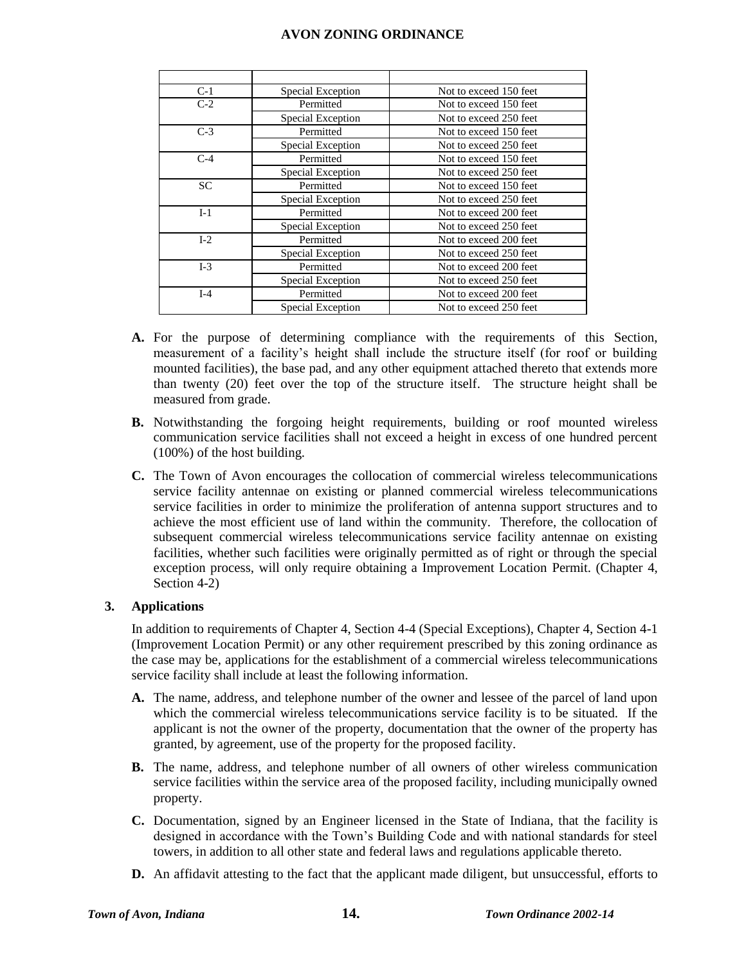| $C-1$ | Special Exception | Not to exceed 150 feet |
|-------|-------------------|------------------------|
| $C-2$ | Permitted         | Not to exceed 150 feet |
|       | Special Exception | Not to exceed 250 feet |
| $C-3$ | Permitted         | Not to exceed 150 feet |
|       | Special Exception | Not to exceed 250 feet |
| $C-4$ | Permitted         | Not to exceed 150 feet |
|       | Special Exception | Not to exceed 250 feet |
| SC    | Permitted         | Not to exceed 150 feet |
|       | Special Exception | Not to exceed 250 feet |
| $I-1$ | Permitted         | Not to exceed 200 feet |
|       | Special Exception | Not to exceed 250 feet |
| $I-2$ | Permitted         | Not to exceed 200 feet |
|       | Special Exception | Not to exceed 250 feet |
| $I-3$ | Permitted         | Not to exceed 200 feet |
|       | Special Exception | Not to exceed 250 feet |
| $I-4$ | Permitted         | Not to exceed 200 feet |
|       | Special Exception | Not to exceed 250 feet |

- **A.** For the purpose of determining compliance with the requirements of this Section, measurement of a facility's height shall include the structure itself (for roof or building mounted facilities), the base pad, and any other equipment attached thereto that extends more than twenty (20) feet over the top of the structure itself. The structure height shall be measured from grade.
- **B.** Notwithstanding the forgoing height requirements, building or roof mounted wireless communication service facilities shall not exceed a height in excess of one hundred percent (100%) of the host building.
- **C.** The Town of Avon encourages the collocation of commercial wireless telecommunications service facility antennae on existing or planned commercial wireless telecommunications service facilities in order to minimize the proliferation of antenna support structures and to achieve the most efficient use of land within the community. Therefore, the collocation of subsequent commercial wireless telecommunications service facility antennae on existing facilities, whether such facilities were originally permitted as of right or through the special exception process, will only require obtaining a Improvement Location Permit. (Chapter 4, Section 4-2)

## **3. Applications**

In addition to requirements of Chapter 4, Section 4-4 (Special Exceptions), Chapter 4, Section 4-1 (Improvement Location Permit) or any other requirement prescribed by this zoning ordinance as the case may be, applications for the establishment of a commercial wireless telecommunications service facility shall include at least the following information.

- **A.** The name, address, and telephone number of the owner and lessee of the parcel of land upon which the commercial wireless telecommunications service facility is to be situated. If the applicant is not the owner of the property, documentation that the owner of the property has granted, by agreement, use of the property for the proposed facility.
- **B.** The name, address, and telephone number of all owners of other wireless communication service facilities within the service area of the proposed facility, including municipally owned property.
- **C.** Documentation, signed by an Engineer licensed in the State of Indiana, that the facility is designed in accordance with the Town's Building Code and with national standards for steel towers, in addition to all other state and federal laws and regulations applicable thereto.
- **D.** An affidavit attesting to the fact that the applicant made diligent, but unsuccessful, efforts to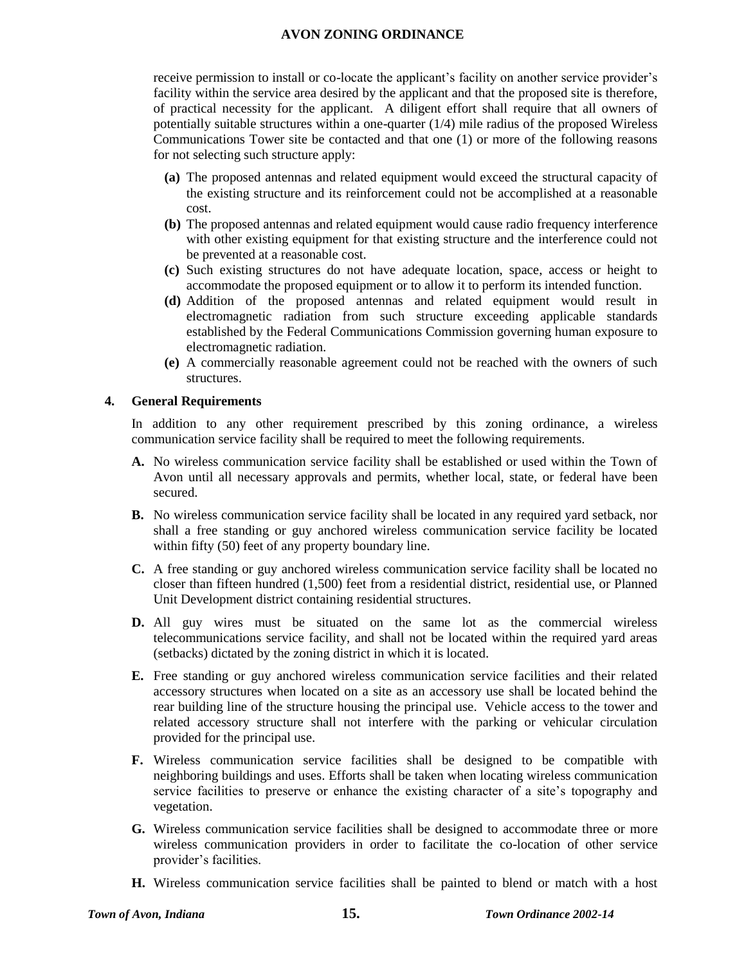receive permission to install or co-locate the applicant's facility on another service provider's facility within the service area desired by the applicant and that the proposed site is therefore, of practical necessity for the applicant. A diligent effort shall require that all owners of potentially suitable structures within a one-quarter (1/4) mile radius of the proposed Wireless Communications Tower site be contacted and that one (1) or more of the following reasons for not selecting such structure apply:

- **(a)** The proposed antennas and related equipment would exceed the structural capacity of the existing structure and its reinforcement could not be accomplished at a reasonable cost.
- **(b)** The proposed antennas and related equipment would cause radio frequency interference with other existing equipment for that existing structure and the interference could not be prevented at a reasonable cost.
- **(c)** Such existing structures do not have adequate location, space, access or height to accommodate the proposed equipment or to allow it to perform its intended function.
- **(d)** Addition of the proposed antennas and related equipment would result in electromagnetic radiation from such structure exceeding applicable standards established by the Federal Communications Commission governing human exposure to electromagnetic radiation.
- **(e)** A commercially reasonable agreement could not be reached with the owners of such structures.

## **4. General Requirements**

In addition to any other requirement prescribed by this zoning ordinance, a wireless communication service facility shall be required to meet the following requirements.

- **A.** No wireless communication service facility shall be established or used within the Town of Avon until all necessary approvals and permits, whether local, state, or federal have been secured.
- **B.** No wireless communication service facility shall be located in any required yard setback, nor shall a free standing or guy anchored wireless communication service facility be located within fifty (50) feet of any property boundary line.
- **C.** A free standing or guy anchored wireless communication service facility shall be located no closer than fifteen hundred (1,500) feet from a residential district, residential use, or Planned Unit Development district containing residential structures.
- **D.** All guy wires must be situated on the same lot as the commercial wireless telecommunications service facility, and shall not be located within the required yard areas (setbacks) dictated by the zoning district in which it is located.
- **E.** Free standing or guy anchored wireless communication service facilities and their related accessory structures when located on a site as an accessory use shall be located behind the rear building line of the structure housing the principal use. Vehicle access to the tower and related accessory structure shall not interfere with the parking or vehicular circulation provided for the principal use.
- **F.** Wireless communication service facilities shall be designed to be compatible with neighboring buildings and uses. Efforts shall be taken when locating wireless communication service facilities to preserve or enhance the existing character of a site's topography and vegetation.
- **G.** Wireless communication service facilities shall be designed to accommodate three or more wireless communication providers in order to facilitate the co-location of other service provider's facilities.
- **H.** Wireless communication service facilities shall be painted to blend or match with a host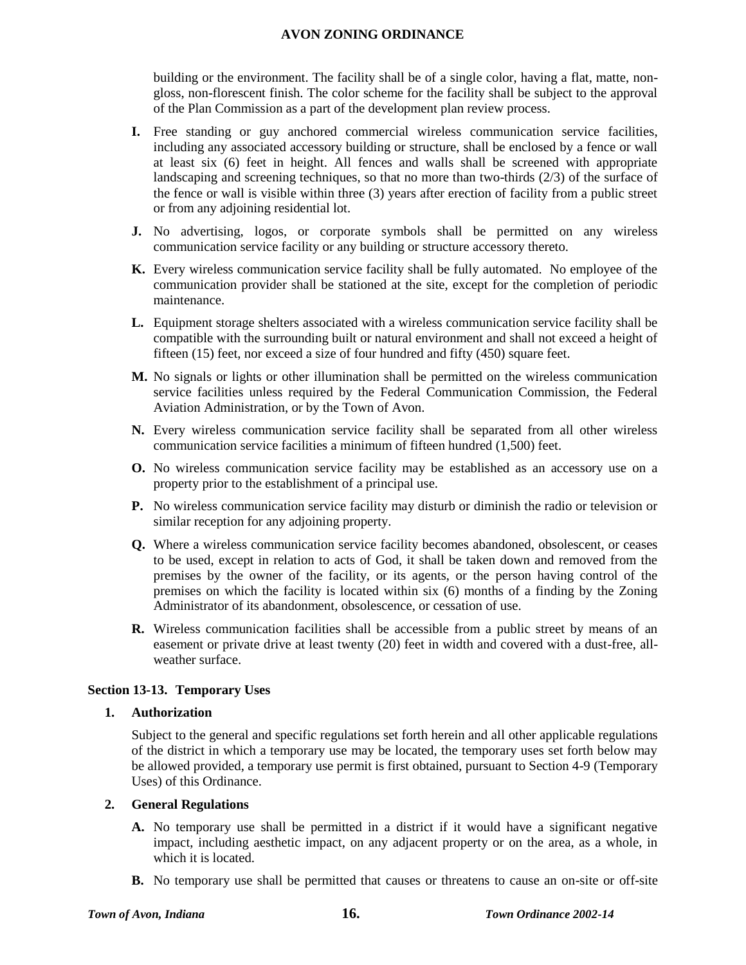building or the environment. The facility shall be of a single color, having a flat, matte, nongloss, non-florescent finish. The color scheme for the facility shall be subject to the approval of the Plan Commission as a part of the development plan review process.

- **I.** Free standing or guy anchored commercial wireless communication service facilities, including any associated accessory building or structure, shall be enclosed by a fence or wall at least six (6) feet in height. All fences and walls shall be screened with appropriate landscaping and screening techniques, so that no more than two-thirds (2/3) of the surface of the fence or wall is visible within three (3) years after erection of facility from a public street or from any adjoining residential lot.
- **J.** No advertising, logos, or corporate symbols shall be permitted on any wireless communication service facility or any building or structure accessory thereto.
- **K.** Every wireless communication service facility shall be fully automated. No employee of the communication provider shall be stationed at the site, except for the completion of periodic maintenance.
- **L.** Equipment storage shelters associated with a wireless communication service facility shall be compatible with the surrounding built or natural environment and shall not exceed a height of fifteen (15) feet, nor exceed a size of four hundred and fifty (450) square feet.
- **M.** No signals or lights or other illumination shall be permitted on the wireless communication service facilities unless required by the Federal Communication Commission, the Federal Aviation Administration, or by the Town of Avon.
- **N.** Every wireless communication service facility shall be separated from all other wireless communication service facilities a minimum of fifteen hundred (1,500) feet.
- **O.** No wireless communication service facility may be established as an accessory use on a property prior to the establishment of a principal use.
- **P.** No wireless communication service facility may disturb or diminish the radio or television or similar reception for any adjoining property.
- **Q.** Where a wireless communication service facility becomes abandoned, obsolescent, or ceases to be used, except in relation to acts of God, it shall be taken down and removed from the premises by the owner of the facility, or its agents, or the person having control of the premises on which the facility is located within six (6) months of a finding by the Zoning Administrator of its abandonment, obsolescence, or cessation of use.
- **R.** Wireless communication facilities shall be accessible from a public street by means of an easement or private drive at least twenty (20) feet in width and covered with a dust-free, allweather surface.

## **Section 13-13. Temporary Uses**

## **1. Authorization**

Subject to the general and specific regulations set forth herein and all other applicable regulations of the district in which a temporary use may be located, the temporary uses set forth below may be allowed provided, a temporary use permit is first obtained, pursuant to Section 4-9 (Temporary Uses) of this Ordinance.

## **2. General Regulations**

- **A.** No temporary use shall be permitted in a district if it would have a significant negative impact, including aesthetic impact, on any adjacent property or on the area, as a whole, in which it is located.
- **B.** No temporary use shall be permitted that causes or threatens to cause an on-site or off-site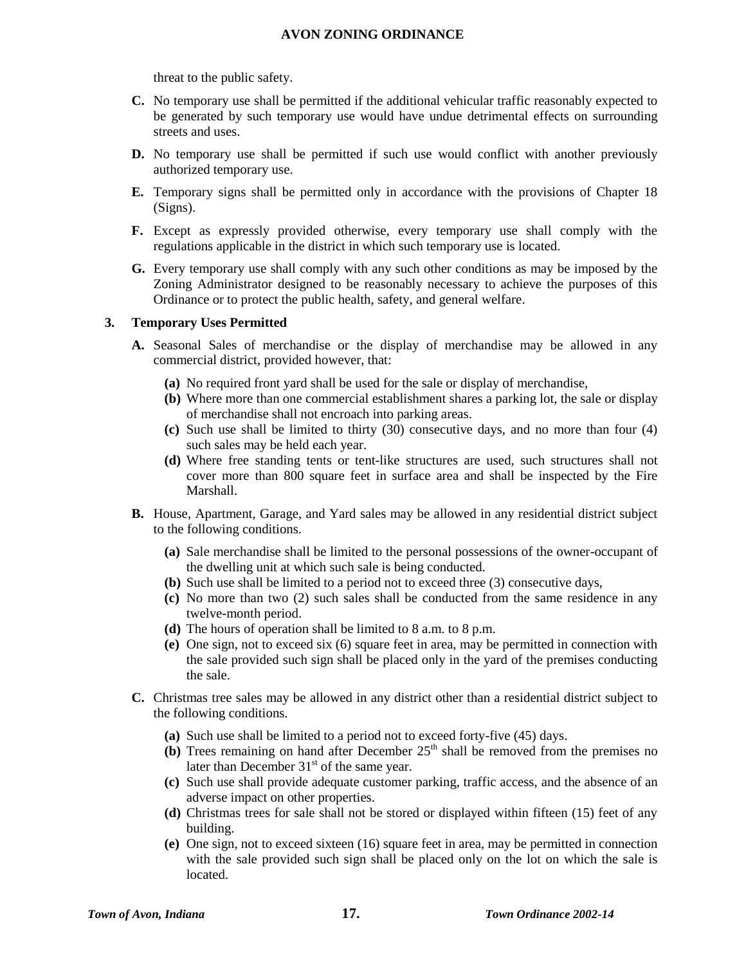threat to the public safety.

- **C.** No temporary use shall be permitted if the additional vehicular traffic reasonably expected to be generated by such temporary use would have undue detrimental effects on surrounding streets and uses.
- **D.** No temporary use shall be permitted if such use would conflict with another previously authorized temporary use.
- **E.** Temporary signs shall be permitted only in accordance with the provisions of Chapter 18 (Signs).
- **F.** Except as expressly provided otherwise, every temporary use shall comply with the regulations applicable in the district in which such temporary use is located.
- **G.** Every temporary use shall comply with any such other conditions as may be imposed by the Zoning Administrator designed to be reasonably necessary to achieve the purposes of this Ordinance or to protect the public health, safety, and general welfare.

## **3. Temporary Uses Permitted**

- **A.** Seasonal Sales of merchandise or the display of merchandise may be allowed in any commercial district, provided however, that:
	- **(a)** No required front yard shall be used for the sale or display of merchandise,
	- **(b)** Where more than one commercial establishment shares a parking lot, the sale or display of merchandise shall not encroach into parking areas.
	- **(c)** Such use shall be limited to thirty (30) consecutive days, and no more than four (4) such sales may be held each year.
	- **(d)** Where free standing tents or tent-like structures are used, such structures shall not cover more than 800 square feet in surface area and shall be inspected by the Fire Marshall.
- **B.** House, Apartment, Garage, and Yard sales may be allowed in any residential district subject to the following conditions.
	- **(a)** Sale merchandise shall be limited to the personal possessions of the owner-occupant of the dwelling unit at which such sale is being conducted.
	- **(b)** Such use shall be limited to a period not to exceed three (3) consecutive days,
	- **(c)** No more than two (2) such sales shall be conducted from the same residence in any twelve-month period.
	- **(d)** The hours of operation shall be limited to 8 a.m. to 8 p.m.
	- **(e)** One sign, not to exceed six (6) square feet in area, may be permitted in connection with the sale provided such sign shall be placed only in the yard of the premises conducting the sale.
- **C.** Christmas tree sales may be allowed in any district other than a residential district subject to the following conditions.
	- **(a)** Such use shall be limited to a period not to exceed forty-five (45) days.
	- **(b)** Trees remaining on hand after December  $25<sup>th</sup>$  shall be removed from the premises no later than December  $31<sup>st</sup>$  of the same year.
	- **(c)** Such use shall provide adequate customer parking, traffic access, and the absence of an adverse impact on other properties.
	- **(d)** Christmas trees for sale shall not be stored or displayed within fifteen (15) feet of any building.
	- **(e)** One sign, not to exceed sixteen (16) square feet in area, may be permitted in connection with the sale provided such sign shall be placed only on the lot on which the sale is located.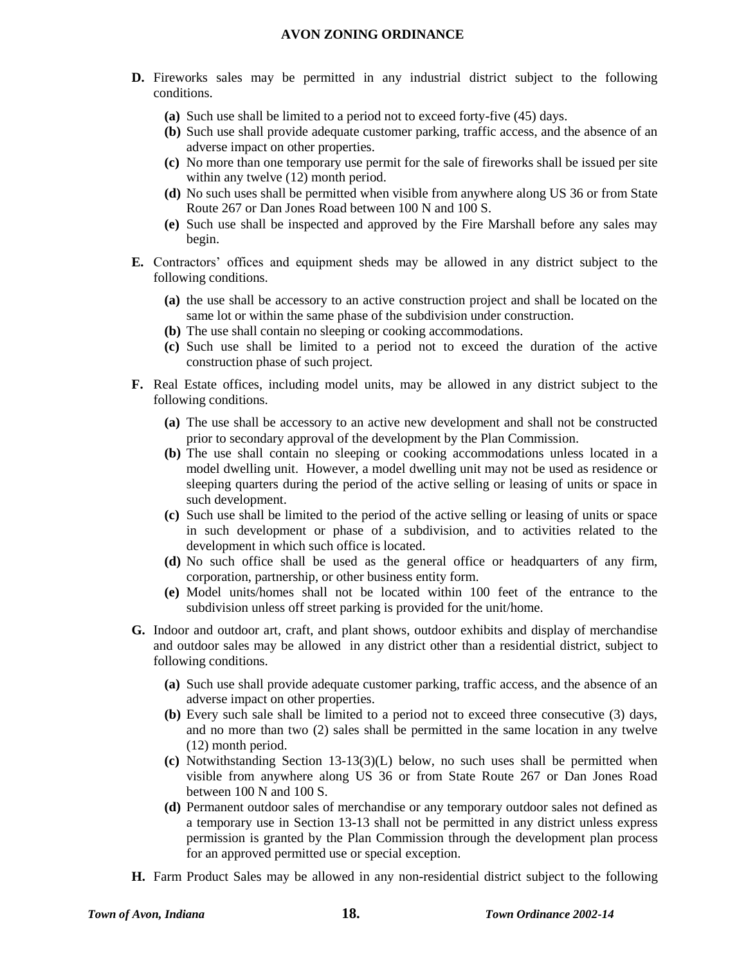- **D.** Fireworks sales may be permitted in any industrial district subject to the following conditions.
	- **(a)** Such use shall be limited to a period not to exceed forty-five (45) days.
	- **(b)** Such use shall provide adequate customer parking, traffic access, and the absence of an adverse impact on other properties.
	- **(c)** No more than one temporary use permit for the sale of fireworks shall be issued per site within any twelve  $(12)$  month period.
	- **(d)** No such uses shall be permitted when visible from anywhere along US 36 or from State Route 267 or Dan Jones Road between 100 N and 100 S.
	- **(e)** Such use shall be inspected and approved by the Fire Marshall before any sales may begin.
- **E.** Contractors' offices and equipment sheds may be allowed in any district subject to the following conditions.
	- **(a)** the use shall be accessory to an active construction project and shall be located on the same lot or within the same phase of the subdivision under construction.
	- **(b)** The use shall contain no sleeping or cooking accommodations.
	- **(c)** Such use shall be limited to a period not to exceed the duration of the active construction phase of such project.
- **F.** Real Estate offices, including model units, may be allowed in any district subject to the following conditions.
	- **(a)** The use shall be accessory to an active new development and shall not be constructed prior to secondary approval of the development by the Plan Commission.
	- **(b)** The use shall contain no sleeping or cooking accommodations unless located in a model dwelling unit. However, a model dwelling unit may not be used as residence or sleeping quarters during the period of the active selling or leasing of units or space in such development.
	- **(c)** Such use shall be limited to the period of the active selling or leasing of units or space in such development or phase of a subdivision, and to activities related to the development in which such office is located.
	- **(d)** No such office shall be used as the general office or headquarters of any firm, corporation, partnership, or other business entity form.
	- **(e)** Model units/homes shall not be located within 100 feet of the entrance to the subdivision unless off street parking is provided for the unit/home.
- **G.** Indoor and outdoor art, craft, and plant shows, outdoor exhibits and display of merchandise and outdoor sales may be allowed in any district other than a residential district, subject to following conditions.
	- **(a)** Such use shall provide adequate customer parking, traffic access, and the absence of an adverse impact on other properties.
	- **(b)** Every such sale shall be limited to a period not to exceed three consecutive (3) days, and no more than two (2) sales shall be permitted in the same location in any twelve (12) month period.
	- **(c)** Notwithstanding Section 13-13(3)(L) below, no such uses shall be permitted when visible from anywhere along US 36 or from State Route 267 or Dan Jones Road between 100 N and 100 S.
	- **(d)** Permanent outdoor sales of merchandise or any temporary outdoor sales not defined as a temporary use in Section 13-13 shall not be permitted in any district unless express permission is granted by the Plan Commission through the development plan process for an approved permitted use or special exception.
- **H.** Farm Product Sales may be allowed in any non-residential district subject to the following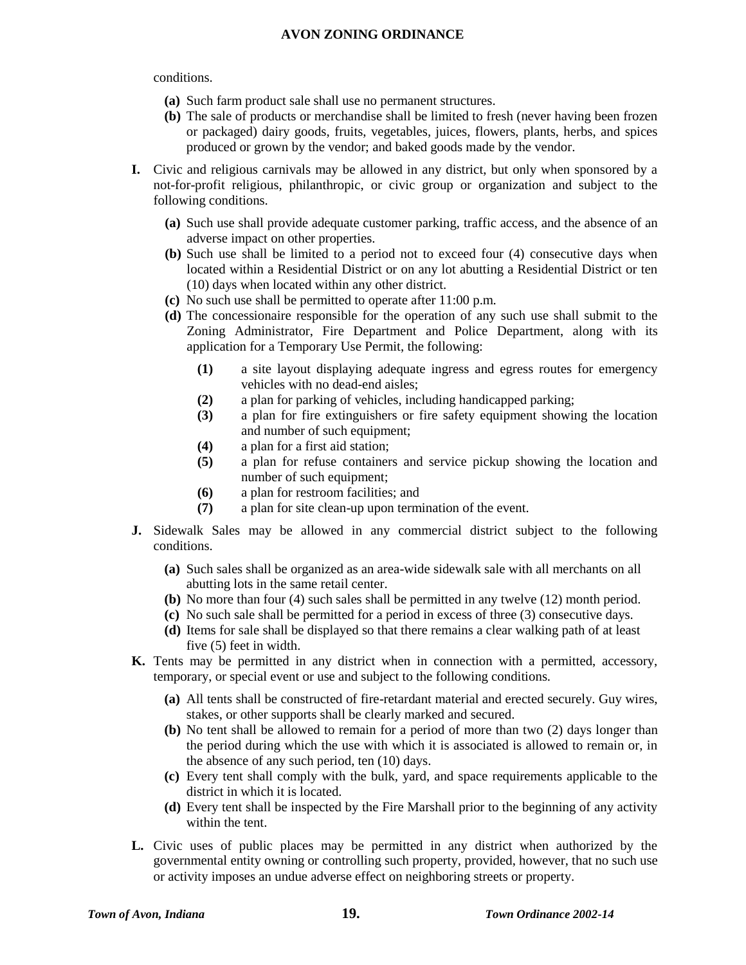#### conditions.

- **(a)** Such farm product sale shall use no permanent structures.
- **(b)** The sale of products or merchandise shall be limited to fresh (never having been frozen or packaged) dairy goods, fruits, vegetables, juices, flowers, plants, herbs, and spices produced or grown by the vendor; and baked goods made by the vendor.
- **I.** Civic and religious carnivals may be allowed in any district, but only when sponsored by a not-for-profit religious, philanthropic, or civic group or organization and subject to the following conditions.
	- **(a)** Such use shall provide adequate customer parking, traffic access, and the absence of an adverse impact on other properties.
	- **(b)** Such use shall be limited to a period not to exceed four (4) consecutive days when located within a Residential District or on any lot abutting a Residential District or ten (10) days when located within any other district.
	- **(c)** No such use shall be permitted to operate after 11:00 p.m.
	- **(d)** The concessionaire responsible for the operation of any such use shall submit to the Zoning Administrator, Fire Department and Police Department, along with its application for a Temporary Use Permit, the following:
		- **(1)** a site layout displaying adequate ingress and egress routes for emergency vehicles with no dead-end aisles;
		- **(2)** a plan for parking of vehicles, including handicapped parking;
		- **(3)** a plan for fire extinguishers or fire safety equipment showing the location and number of such equipment;
		- **(4)** a plan for a first aid station;
		- **(5)** a plan for refuse containers and service pickup showing the location and number of such equipment;
		- **(6)** a plan for restroom facilities; and
		- **(7)** a plan for site clean-up upon termination of the event.
- **J.** Sidewalk Sales may be allowed in any commercial district subject to the following conditions.
	- **(a)** Such sales shall be organized as an area-wide sidewalk sale with all merchants on all abutting lots in the same retail center.
	- **(b)** No more than four (4) such sales shall be permitted in any twelve (12) month period.
	- **(c)** No such sale shall be permitted for a period in excess of three (3) consecutive days.
	- **(d)** Items for sale shall be displayed so that there remains a clear walking path of at least five (5) feet in width.
- **K.** Tents may be permitted in any district when in connection with a permitted, accessory, temporary, or special event or use and subject to the following conditions.
	- **(a)** All tents shall be constructed of fire-retardant material and erected securely. Guy wires, stakes, or other supports shall be clearly marked and secured.
	- **(b)** No tent shall be allowed to remain for a period of more than two (2) days longer than the period during which the use with which it is associated is allowed to remain or, in the absence of any such period, ten (10) days.
	- **(c)** Every tent shall comply with the bulk, yard, and space requirements applicable to the district in which it is located.
	- **(d)** Every tent shall be inspected by the Fire Marshall prior to the beginning of any activity within the tent.
- **L.** Civic uses of public places may be permitted in any district when authorized by the governmental entity owning or controlling such property, provided, however, that no such use or activity imposes an undue adverse effect on neighboring streets or property.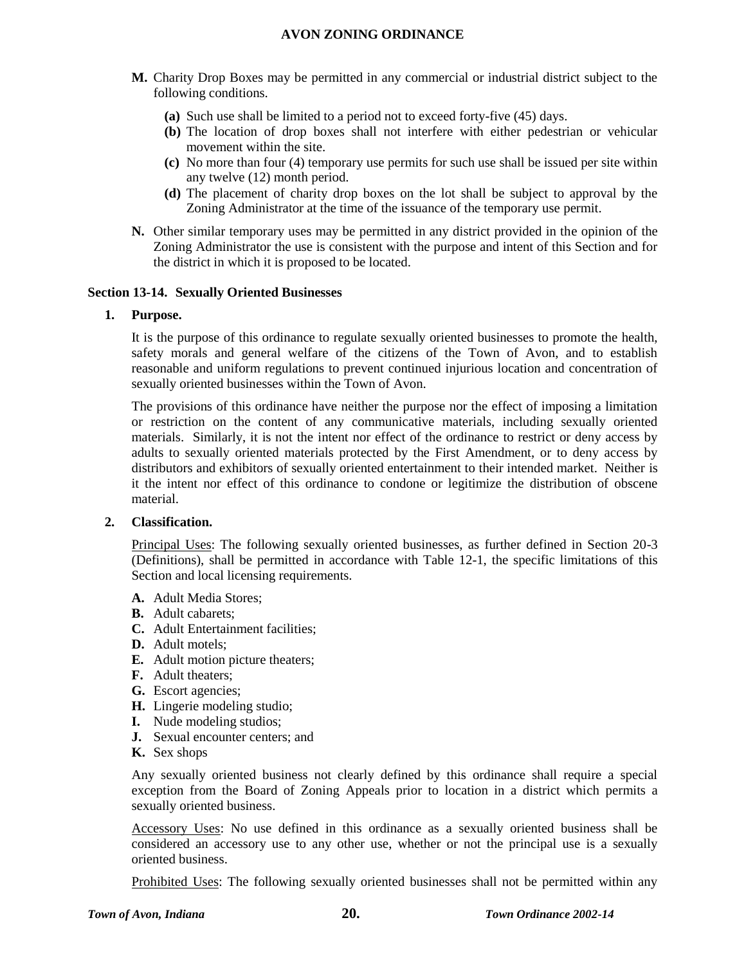- **M.** Charity Drop Boxes may be permitted in any commercial or industrial district subject to the following conditions.
	- **(a)** Such use shall be limited to a period not to exceed forty-five (45) days.
	- **(b)** The location of drop boxes shall not interfere with either pedestrian or vehicular movement within the site.
	- **(c)** No more than four (4) temporary use permits for such use shall be issued per site within any twelve (12) month period.
	- **(d)** The placement of charity drop boxes on the lot shall be subject to approval by the Zoning Administrator at the time of the issuance of the temporary use permit.
- **N.** Other similar temporary uses may be permitted in any district provided in the opinion of the Zoning Administrator the use is consistent with the purpose and intent of this Section and for the district in which it is proposed to be located.

## **Section 13-14. Sexually Oriented Businesses**

#### **1. Purpose.**

It is the purpose of this ordinance to regulate sexually oriented businesses to promote the health, safety morals and general welfare of the citizens of the Town of Avon, and to establish reasonable and uniform regulations to prevent continued injurious location and concentration of sexually oriented businesses within the Town of Avon.

The provisions of this ordinance have neither the purpose nor the effect of imposing a limitation or restriction on the content of any communicative materials, including sexually oriented materials. Similarly, it is not the intent nor effect of the ordinance to restrict or deny access by adults to sexually oriented materials protected by the First Amendment, or to deny access by distributors and exhibitors of sexually oriented entertainment to their intended market. Neither is it the intent nor effect of this ordinance to condone or legitimize the distribution of obscene material.

## **2. Classification.**

Principal Uses: The following sexually oriented businesses, as further defined in Section 20-3 (Definitions), shall be permitted in accordance with Table 12-1, the specific limitations of this Section and local licensing requirements.

- **A.** Adult Media Stores;
- **B.** Adult cabarets;
- **C.** Adult Entertainment facilities;
- **D.** Adult motels;
- **E.** Adult motion picture theaters;
- **F.** Adult theaters;
- **G.** Escort agencies;
- **H.** Lingerie modeling studio;
- **I.** Nude modeling studios;
- **J.** Sexual encounter centers; and
- **K.** Sex shops

Any sexually oriented business not clearly defined by this ordinance shall require a special exception from the Board of Zoning Appeals prior to location in a district which permits a sexually oriented business.

Accessory Uses: No use defined in this ordinance as a sexually oriented business shall be considered an accessory use to any other use, whether or not the principal use is a sexually oriented business.

Prohibited Uses: The following sexually oriented businesses shall not be permitted within any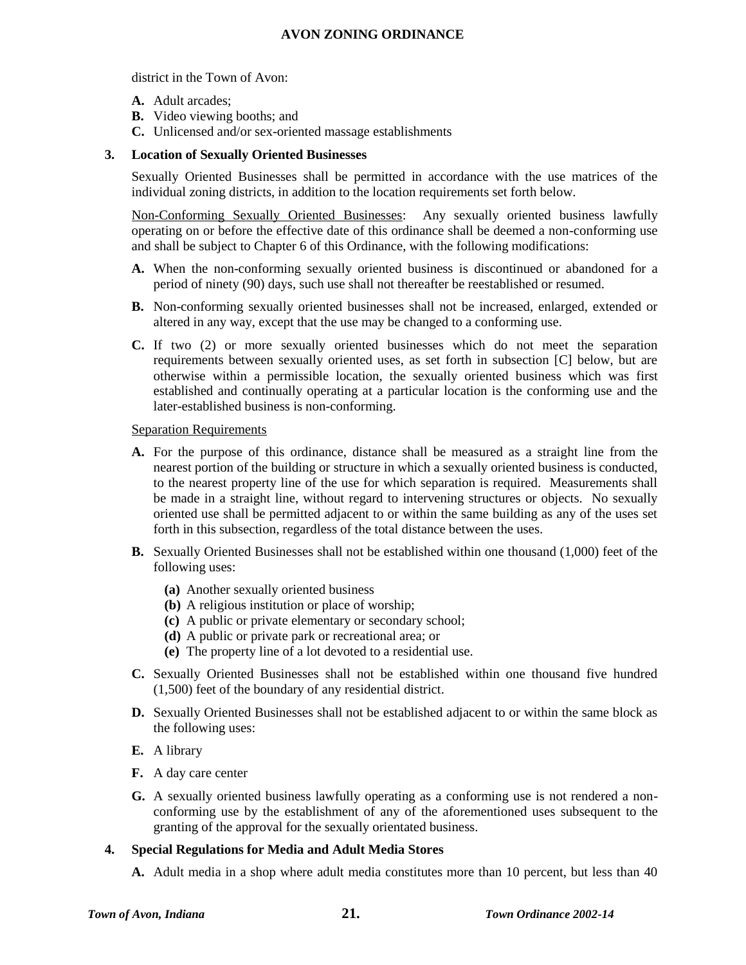district in the Town of Avon:

- **A.** Adult arcades;
- **B.** Video viewing booths; and
- **C.** Unlicensed and/or sex-oriented massage establishments

#### **3. Location of Sexually Oriented Businesses**

Sexually Oriented Businesses shall be permitted in accordance with the use matrices of the individual zoning districts, in addition to the location requirements set forth below.

Non-Conforming Sexually Oriented Businesses: Any sexually oriented business lawfully operating on or before the effective date of this ordinance shall be deemed a non-conforming use and shall be subject to Chapter 6 of this Ordinance, with the following modifications:

- **A.** When the non-conforming sexually oriented business is discontinued or abandoned for a period of ninety (90) days, such use shall not thereafter be reestablished or resumed.
- **B.** Non-conforming sexually oriented businesses shall not be increased, enlarged, extended or altered in any way, except that the use may be changed to a conforming use.
- **C.** If two (2) or more sexually oriented businesses which do not meet the separation requirements between sexually oriented uses, as set forth in subsection [C] below, but are otherwise within a permissible location, the sexually oriented business which was first established and continually operating at a particular location is the conforming use and the later-established business is non-conforming.

#### Separation Requirements

- **A.** For the purpose of this ordinance, distance shall be measured as a straight line from the nearest portion of the building or structure in which a sexually oriented business is conducted, to the nearest property line of the use for which separation is required. Measurements shall be made in a straight line, without regard to intervening structures or objects. No sexually oriented use shall be permitted adjacent to or within the same building as any of the uses set forth in this subsection, regardless of the total distance between the uses.
- **B.** Sexually Oriented Businesses shall not be established within one thousand (1,000) feet of the following uses:
	- **(a)** Another sexually oriented business
	- **(b)** A religious institution or place of worship;
	- **(c)** A public or private elementary or secondary school;
	- **(d)** A public or private park or recreational area; or
	- **(e)** The property line of a lot devoted to a residential use.
- **C.** Sexually Oriented Businesses shall not be established within one thousand five hundred (1,500) feet of the boundary of any residential district.
- **D.** Sexually Oriented Businesses shall not be established adjacent to or within the same block as the following uses:
- **E.** A library
- **F.** A day care center
- **G.** A sexually oriented business lawfully operating as a conforming use is not rendered a nonconforming use by the establishment of any of the aforementioned uses subsequent to the granting of the approval for the sexually orientated business.

## **4. Special Regulations for Media and Adult Media Stores**

**A.** Adult media in a shop where adult media constitutes more than 10 percent, but less than 40